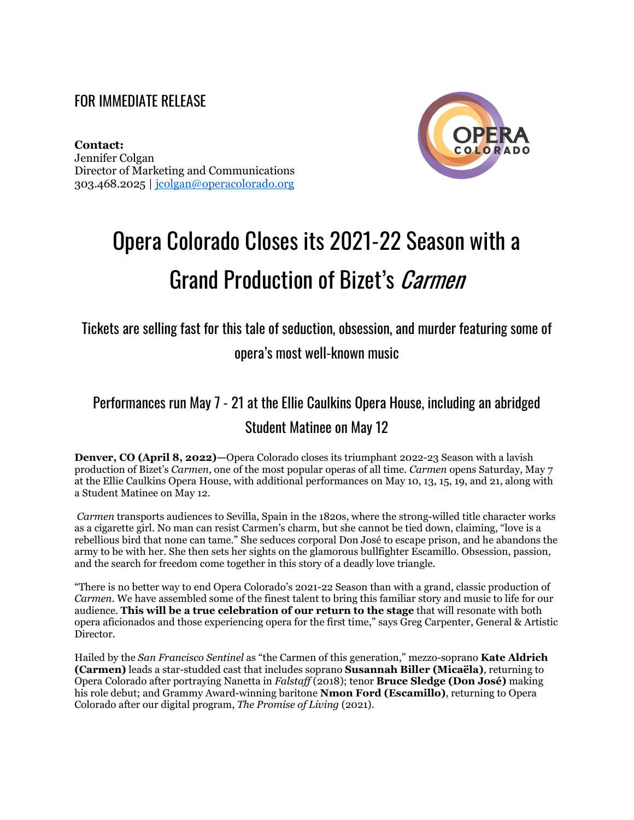#### FOR IMMEDIATE RELEASE

**Contact:**  Jennifer Colgan Director of Marketing and Communications 303.468.2025 | [jcolgan@operacolorado.org](mailto:jcolgan@operacolorado.org)



# Opera Colorado Closes its 2021-22 Season with a Grand Production of Bizet's Carmen

Tickets are selling fast for this tale of seduction, obsession, and murder featuring some of opera's most well-known music

### Performances run May 7 - 21 at the Ellie Caulkins Opera House, including an abridged Student Matinee on May 12

**Denver, CO (April 8, 2022)—Opera Colorado closes its triumphant 2022-23 Season with a lavish** production of Bizet's *Carmen*, one of the most popular operas of all time. *Carmen* opens Saturday, May 7 at the Ellie Caulkins Opera House, with additional performances on May 10, 13, 15, 19, and 21, along with a Student Matinee on May 12.

*Carmen* transports audiences to Sevilla, Spain in the 1820s, where the strong-willed title character works as a cigarette girl. No man can resist Carmen's charm, but she cannot be tied down, claiming, "love is a rebellious bird that none can tame." She seduces corporal Don José to escape prison, and he abandons the army to be with her. She then sets her sights on the glamorous bullfighter Escamillo. Obsession, passion, and the search for freedom come together in this story of a deadly love triangle.

"There is no better way to end Opera Colorado's 2021-22 Season than with a grand, classic production of *Carmen*. We have assembled some of the finest talent to bring this familiar story and music to life for our audience. **This will be a true celebration of our return to the stage** that will resonate with both opera aficionados and those experiencing opera for the first time," says Greg Carpenter, General & Artistic Director.

Hailed by the *San Francisco Sentinel* as "the Carmen of this generation," mezzo-soprano **Kate Aldrich (Carmen)** leads a star-studded cast that includes soprano **Susannah Biller (Micaëla)**, returning to Opera Colorado after portraying Nanetta in *Falstaff* (2018); tenor **Bruce Sledge (Don José)** making his role debut; and Grammy Award-winning baritone **Nmon Ford (Escamillo)**, returning to Opera Colorado after our digital program, *The Promise of Living* (2021).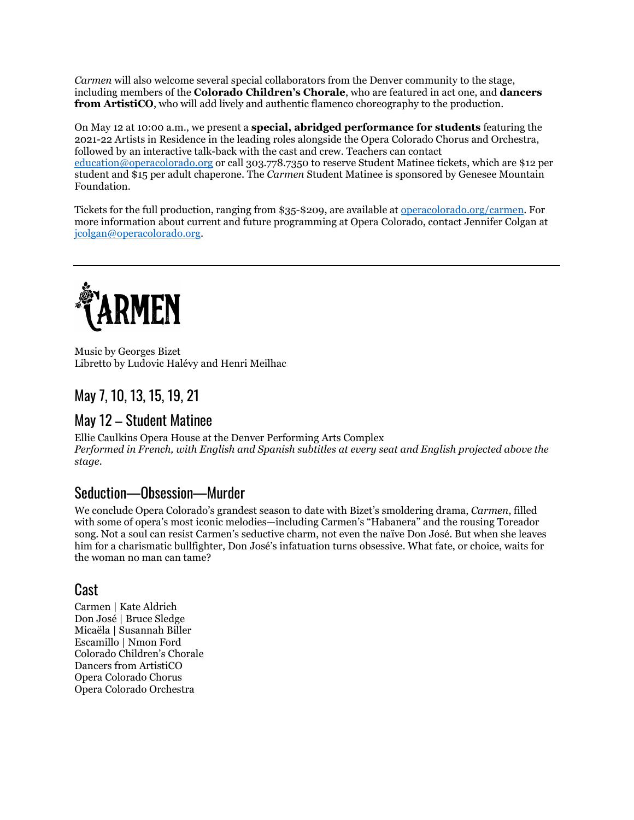*Carmen* will also welcome several special collaborators from the Denver community to the stage, including members of the **Colorado Children's Chorale**, who are featured in act one, and **dancers from ArtistiCO**, who will add lively and authentic flamenco choreography to the production.

On May 12 at 10:00 a.m., we present a **special, abridged performance for students** featuring the 2021-22 Artists in Residence in the leading roles alongside the Opera Colorado Chorus and Orchestra, followed by an interactive talk-back with the cast and crew. Teachers can contact education@operacolorado.org or call 303.778.7350 to reserve Student Matinee tickets, which are \$12 per student and \$15 per adult chaperone. The *Carmen* Student Matinee is sponsored by Genesee Mountain Foundation.

Tickets for the full production, ranging from \$35-\$209, are available at [operacolorado.org/](https://www.operacolorado.org/event/bizets-carmen/)carmen. For more information about current and future programming at Opera Colorado, contact Jennifer Colgan at [jcolgan@operacolorado.org.](mailto:jcolgan@operacolorado.org)



Music by Georges Bizet Libretto by Ludovic Halévy and Henri Meilhac

#### May 7, 10, 13, 15, 19, 21

#### May 12 – Student Matinee

Ellie Caulkins Opera House at the Denver Performing Arts Complex *Performed in French, with English and Spanish subtitles at every seat and English projected above the stage.*

#### Seduction—Obsession—Murder

We conclude Opera Colorado's grandest season to date with Bizet's smoldering drama, *Carmen*, filled with some of opera's most iconic melodies—including Carmen's "Habanera" and the rousing Toreador song. Not a soul can resist Carmen's seductive charm, not even the naïve Don José. But when she leaves him for a charismatic bullfighter, Don José's infatuation turns obsessive. What fate, or choice, waits for the woman no man can tame?

#### Cast

Carmen | Kate Aldrich Don José | Bruce Sledge Micaëla | Susannah Biller Escamillo | Nmon Ford Colorado Children's Chorale Dancers from ArtistiCO Opera Colorado Chorus Opera Colorado Orchestra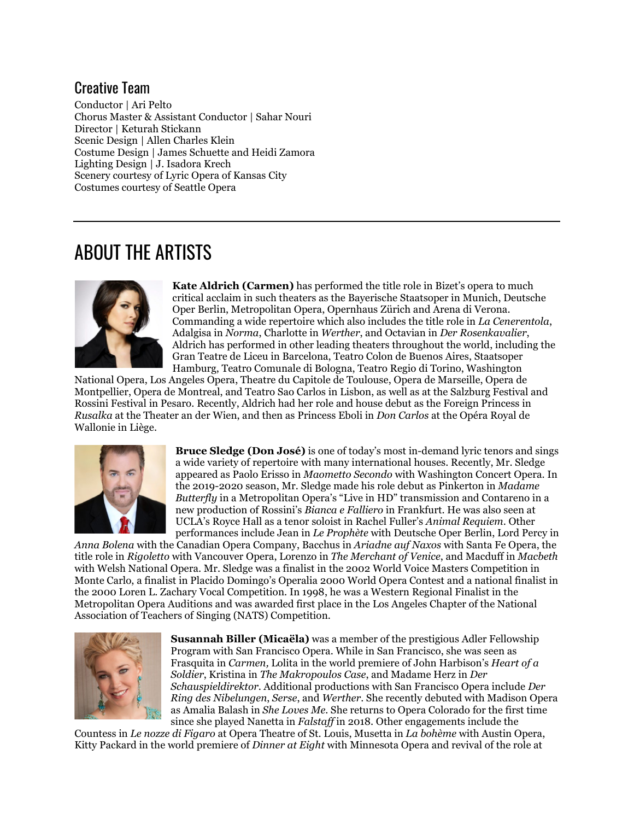#### Creative Team

Conductor | Ari Pelto Chorus Master & Assistant Conductor | Sahar Nouri Director | Keturah Stickann Scenic Design | Allen Charles Klein Costume Design | James Schuette and Heidi Zamora Lighting Design | J. Isadora Krech Scenery courtesy of Lyric Opera of Kansas City Costumes courtesy of Seattle Opera

## ABOUT THE ARTISTS



**Kate Aldrich (Carmen)** has performed the title role in Bizet's opera to much critical acclaim in such theaters as the Bayerische Staatsoper in Munich, Deutsche Oper Berlin, Metropolitan Opera, Opernhaus Zürich and Arena di Verona. Commanding a wide repertoire which also includes the title role in *La Cenerentola*, Adalgisa in *Norma*, Charlotte in *Werther*, and Octavian in *Der Rosenkavalier*, Aldrich has performed in other leading theaters throughout the world, including the Gran Teatre de Liceu in Barcelona, Teatro Colon de Buenos Aires, Staatsoper Hamburg, Teatro Comunale di Bologna, Teatro Regio di Torino, Washington

National Opera, Los Angeles Opera, Theatre du Capitole de Toulouse, Opera de Marseille, Opera de Montpellier, Opera de Montreal, and Teatro Sao Carlos in Lisbon, as well as at the Salzburg Festival and Rossini Festival in Pesaro. Recently, Aldrich had her role and house debut as the Foreign Princess in *Rusalka* at the Theater an der Wien, and then as Princess Eboli in *Don Carlos* at the Opéra Royal de Wallonie in Liège.



**Bruce Sledge (Don José)** is one of today's most in-demand lyric tenors and sings a wide variety of repertoire with many international houses. Recently, Mr. Sledge appeared as Paolo Erisso in *Maometto Secondo* with Washington Concert Opera. In the 2019-2020 season, Mr. Sledge made his role debut as Pinkerton in *Madame Butterfly* in a Metropolitan Opera's "Live in HD" transmission and Contareno in a new production of Rossini's *Bianca e Falliero* in Frankfurt. He was also seen at UCLA's Royce Hall as a tenor soloist in Rachel Fuller's *Animal Requiem*. Other performances include Jean in *Le Prophète* with Deutsche Oper Berlin, Lord Percy in

*Anna Bolena* with the Canadian Opera Company, Bacchus in *Ariadne auf Naxos* with Santa Fe Opera, the title role in *Rigoletto* with Vancouver Opera, Lorenzo in *The Merchant of Venice*, and Macduff in *Macbeth*  with Welsh National Opera. Mr. Sledge was a finalist in the 2002 World Voice Masters Competition in Monte Carlo, a finalist in Placido Domingo's Operalia 2000 World Opera Contest and a national finalist in the 2000 Loren L. Zachary Vocal Competition. In 1998, he was a Western Regional Finalist in the Metropolitan Opera Auditions and was awarded first place in the Los Angeles Chapter of the National Association of Teachers of Singing (NATS) Competition.



**Susannah Biller (Micaëla)** was a member of the prestigious Adler Fellowship Program with San Francisco Opera. While in San Francisco, she was seen as Frasquita in *Carmen,* Lolita in the world premiere of John Harbison's *Heart of a Soldier*, Kristina in *The Makropoulos Case*, and Madame Herz in *Der Schauspieldirektor*. Additional productions with San Francisco Opera include *Der Ring des Nibelungen*, *Serse*, and *Werther*. She recently debuted with Madison Opera as Amalia Balash in *She Loves Me*. She returns to Opera Colorado for the first time since she played Nanetta in *Falstaff* in 2018. Other engagements include the

Countess in *Le nozze di Figaro* at Opera Theatre of St. Louis, Musetta in *La bohème* with Austin Opera, Kitty Packard in the world premiere of *Dinner at Eight* with Minnesota Opera and revival of the role at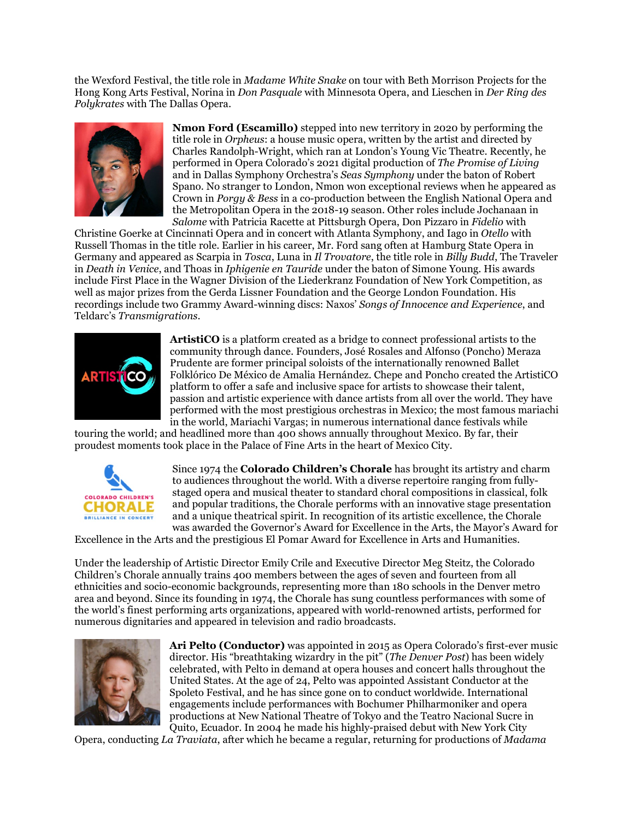the Wexford Festival, the title role in *Madame White Snake* on tour with Beth Morrison Projects for the Hong Kong Arts Festival, Norina in *Don Pasquale* with Minnesota Opera, and Lieschen in *Der Ring des Polykrates* with The Dallas Opera.



**Nmon Ford (Escamillo)** stepped into new territory in 2020 by performing the title role in *Orpheus*: a house music opera, written by the artist and directed by Charles Randolph-Wright, which ran at London's Young Vic Theatre. Recently, he performed in Opera Colorado's 2021 digital production of *The Promise of Living* and in Dallas Symphony Orchestra's *Seas Symphony* under the baton of Robert Spano. No stranger to London, Nmon won exceptional reviews when he appeared as Crown in *Porgy & Bess* in a co-production between the English National Opera and the Metropolitan Opera in the 2018-19 season. Other roles include Jochanaan in *Salome* with Patricia Racette at Pittsburgh Opera, Don Pizzaro in *Fidelio* with

Christine Goerke at Cincinnati Opera and in concert with Atlanta Symphony, and Iago in *Otello* with Russell Thomas in the title role. Earlier in his career, Mr. Ford sang often at Hamburg State Opera in Germany and appeared as Scarpia in *Tosca*, Luna in *Il Trovatore*, the title role in *Billy Budd*, The Traveler in *Death in Venice*, and Thoas in *Iphigenie en Tauride* under the baton of Simone Young. His awards include First Place in the Wagner Division of the Liederkranz Foundation of New York Competition, as well as major prizes from the Gerda Lissner Foundation and the George London Foundation. His recordings include two Grammy Award-winning discs: Naxos' *Songs of Innocence and Experience*, and Teldarc's *Transmigrations*.



**ArtistiCO** is a platform created as a bridge to connect professional artists to the community through dance. Founders, José Rosales and Alfonso (Poncho) Meraza Prudente are former principal soloists of the internationally renowned Ballet Folklórico De México de Amalia Hernández. Chepe and Poncho created the ArtistiCO platform to offer a safe and inclusive space for artists to showcase their talent, passion and artistic experience with dance artists from all over the world. They have performed with the most prestigious orchestras in Mexico; the most famous mariachi in the world, Mariachi Vargas; in numerous international dance festivals while

touring the world; and headlined more than 400 shows annually throughout Mexico. By far, their proudest moments took place in the Palace of Fine Arts in the heart of Mexico City.



Since 1974 the **Colorado Children's Chorale** has brought its artistry and charm to audiences throughout the world. With a diverse repertoire ranging from fullystaged opera and musical theater to standard choral compositions in classical, folk and popular traditions, the Chorale performs with an innovative stage presentation and a unique theatrical spirit. In recognition of its artistic excellence, the Chorale was awarded the Governor's Award for Excellence in the Arts, the Mayor's Award for

Excellence in the Arts and the prestigious El Pomar Award for Excellence in Arts and Humanities.

Under the leadership of Artistic Director Emily Crile and Executive Director Meg Steitz, the Colorado Children's Chorale annually trains 400 members between the ages of seven and fourteen from all ethnicities and socio-economic backgrounds, representing more than 180 schools in the Denver metro area and beyond. Since its founding in 1974, the Chorale has sung countless performances with some of the world's finest performing arts organizations, appeared with world-renowned artists, performed for numerous dignitaries and appeared in television and radio broadcasts.



**Ari Pelto (Conductor)** was appointed in 2015 as Opera Colorado's first-ever music director. His "breathtaking wizardry in the pit" (*The Denver Post*) has been widely celebrated, with Pelto in demand at opera houses and concert halls throughout the United States. At the age of 24, Pelto was appointed Assistant Conductor at the Spoleto Festival, and he has since gone on to conduct worldwide. International engagements include performances with Bochumer Philharmoniker and opera productions at New National Theatre of Tokyo and the Teatro Nacional Sucre in Quito, Ecuador. In 2004 he made his highly-praised debut with New York City

Opera, conducting *La Traviata*, after which he became a regular, returning for productions of *Madama*